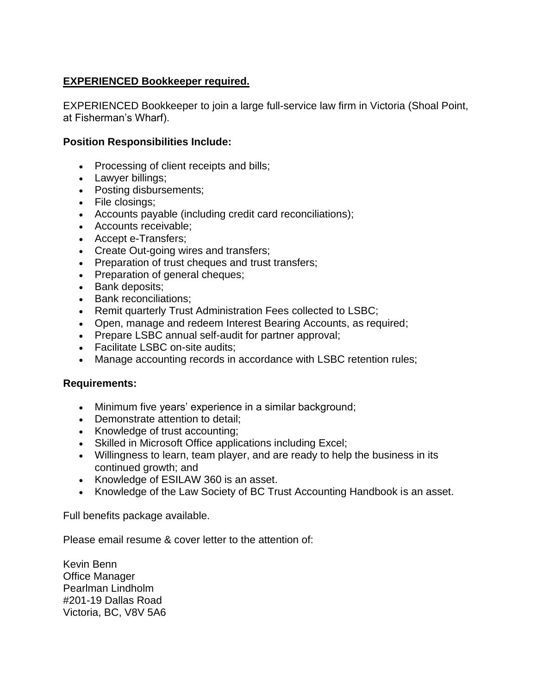## **EXPERIENCED Bookkeeper required.**

EXPERIENCED Bookkeeper to join a large full-service law firm in Victoria (Shoal Point, at Fisherman's Wharf).

## **Position Responsibilities Include:**

- Processing of client receipts and bills;
- Lawyer billings;
- Posting disbursements;
- File closings;
- Accounts payable (including credit card reconciliations);
- Accounts receivable;
- Accept e-Transfers;
- Create Out-going wires and transfers;
- Preparation of trust cheques and trust transfers;
- Preparation of general cheques;
- Bank deposits;
- Bank reconciliations;
- Remit quarterly Trust Administration Fees collected to LSBC;
- Open, manage and redeem Interest Bearing Accounts, as required;
- Prepare LSBC annual self-audit for partner approval;
- Facilitate LSBC on-site audits;
- Manage accounting records in accordance with LSBC retention rules;

## **Requirements:**

- Minimum five years' experience in a similar background;
- Demonstrate attention to detail;
- Knowledge of trust accounting;
- Skilled in Microsoft Office applications including Excel;
- Willingness to learn, team player, and are ready to help the business in its continued growth; and
- Knowledge of ESILAW 360 is an asset.
- Knowledge of the Law Society of BC Trust Accounting Handbook is an asset.

Full benefits package available.

Please email resume & cover letter to the attention of:

Kevin Benn Office Manager Pearlman Lindholm #201-19 Dallas Road Victoria, BC, V8V 5A6